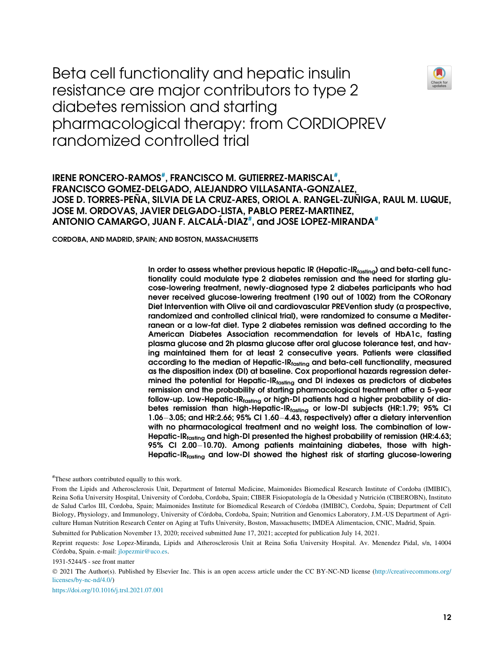Beta cell functionality and hepatic insulin resistance are major contributors to type 2 diabetes remission and starting pharmacological therapy: from CORDIOPREV randomized controlled trial



# IRENE RONCERO-RAMOS<sup>[#](#page-0-0)</sup>, FRANCISCO M. GUTIERREZ-MARISCAL<sup>#</sup>, FRANCISCO GOMEZ-DELGADO, ALEJANDRO VILLASANTA-GONZALEZ, JOSE D. TORRES-PEÑA, SILVIA DE LA CRUZ-ARES, ORIOL A. RANGEL-ZUÑIGA, RAUL M. LUQUE, JOSE M. ORDOVAS, JAVIER DELGADO-LISTA, PABLO PEREZ-MARTINEZ, ANTONIO CAMARGO, JUAN F. ALCALÁ-DIAZ<sup>[#](#page-0-0)</sup>, and JOSE LOPEZ-MIRANDA<sup>#</sup>

CORDOBA, AND MADRID, SPAIN; AND BOSTON, MASSACHUSETTS

In order to assess whether previous hepatic IR (Hepatic-IRfasting) and beta-cell functionality could modulate type 2 diabetes remission and the need for starting glucose-lowering treatment, newly-diagnosed type 2 diabetes participants who had never received glucose-lowering treatment (190 out of 1002) from the CORonary Diet Intervention with Olive oil and cardiovascular PREVention study (a prospective, randomized and controlled clinical trial), were randomized to consume a Mediterranean or a low-fat diet. Type 2 diabetes remission was defined according to the American Diabetes Association recommendation for levels of HbA1c, fasting plasma glucose and 2h plasma glucose after oral glucose tolerance test, and having maintained them for at least 2 consecutive years. Patients were classified according to the median of Hepatic-I $R_{\text{fasting}}$  and beta-cell functionality, measured as the disposition index (DI) at baseline. Cox proportional hazards regression determined the potential for Hepatic-IR $_{\text{fasting}}$  and DI indexes as predictors of diabetes remission and the probability of starting pharmacological treatment after a 5-year follow-up. Low-Hepatic-IRfasting or high-DI patients had a higher probability of diabetes remission than high-Hepatic-IRfasting or low-DI subjects (HR:1.79; 95% CI 1.06-3.05; and HR:2.66; 95% CI 1.60-4.43, respectively) after a dietary intervention with no pharmacological treatment and no weight loss. The combination of low-Hepatic-IRfasting and high-DI presented the highest probability of remission (HR:4.63; 95% CI 2.00-10.70). Among patients maintaining diabetes, those with high-Hepatic-IRfasting and low-DI showed the highest risk of starting glucose-lowering

<span id="page-0-0"></span># These authors contributed equally to this work.

Submitted for Publication November 13, 2020; received submitted June 17, 2021; accepted for publication July 14, 2021.

1931-5244/\$ - see front matter

 2021 The Author(s). Published by Elsevier Inc. This is an open access article under the CC BY-NC-ND license ([http://creativecommons.org/](http://creativecommons.org/licenses/by-nc-nd/4.0/) [licenses/by-nc-nd/4.0/\)](http://creativecommons.org/licenses/by-nc-nd/4.0/)

<https://doi.org/10.1016/j.trsl.2021.07.001>

From the Lipids and Atherosclerosis Unit, Department of Internal Medicine, Maimonides Biomedical Research Institute of Cordoba (IMIBIC), Reina Sofia University Hospital, University of Cordoba, Cordoba, Spain; CIBER Fisiopatología de la Obesidad y Nutrición (CIBEROBN), Instituto de Salud Carlos III, Cordoba, Spain; Maimonides Institute for Biomedical Research of Cordoba (IMIBIC), Cordoba, Spain; Department of Cell Biology, Physiology, and Immunology, University of Cordoba, Cordoba, Spain; Nutrition and Genomics Laboratory, J.M.-US Department of Agriculture Human Nutrition Research Center on Aging at Tufts University, Boston, Massachusetts; IMDEA Alimentacion, CNIC, Madrid, Spain.

Reprint requests: Jose Lopez-Miranda, Lipids and Atherosclerosis Unit at Reina Sofia University Hospital. Av. Menendez Pidal, s/n, 14004 Córdoba, Spain. e-mail: [jlopezmir@uco.es](mailto:jlopezmir@uco.es).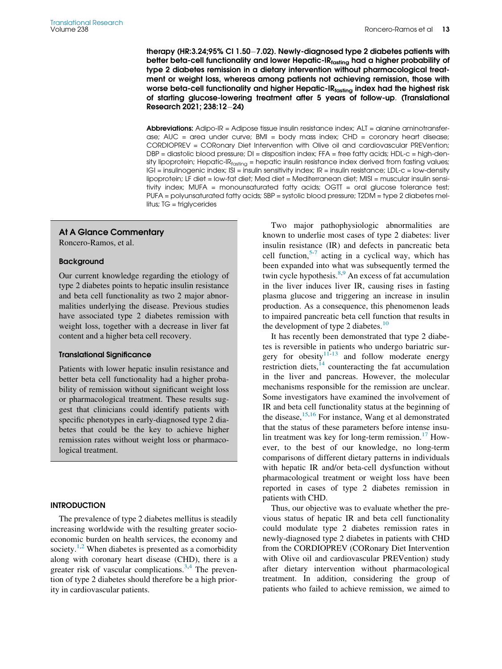therapy (HR:3.24;95% CI 1.50-7.02). Newly-diagnosed type 2 diabetes patients with better beta-cell functionality and lower Hepatic-I $R_{\text{fasting}}$  had a higher probability of type 2 diabetes remission in a dietary intervention without pharmacological treatment or weight loss, whereas among patients not achieving remission, those with worse beta-cell functionality and higher Hepatic-I $R_{\text{fasting}}$  index had the highest risk of starting glucose-lowering treatment after 5 years of follow-up. (Translational Research 2021; 238:12-24)

Abbreviations: Adipo-IR = Adipose tissue insulin resistance index; ALT = alanine aminotransferase; AUC = area under curve; BMI = body mass index; CHD = coronary heart disease; CORDIOPREV = CORonary Diet Intervention with Olive oil and cardiovascular PREVention; DBP = diastolic blood pressure; DI = disposition index; FFA = free fatty acids; HDL-c = high-density lipoprotein; Hepatic-IR<sub>fasting</sub> = hepatic insulin resistance index derived from fasting values; IGI = insulinogenic index; ISI = insulin sensitivity index; IR = insulin resistance; LDL-c = low-density lipoprotein; LF diet = low-fat diet; Med diet = Mediterranean diet; MISI = muscular insulin sensitivity index; MUFA = monounsaturated fatty acids;  $OGT = \text{oral glucose tolerance test}$ ; PUFA = polyunsaturated fatty acids; SBP = systolic blood pressure; T2DM = type 2 diabetes mellitus; TG = triglycerides

## At A Glance Commentary

Roncero-Ramos, et al.

#### Background

Our current knowledge regarding the etiology of type 2 diabetes points to hepatic insulin resistance and beta cell functionality as two 2 major abnormalities underlying the disease. Previous studies have associated type 2 diabetes remission with weight loss, together with a decrease in liver fat content and a higher beta cell recovery.

#### Translational Significance

Patients with lower hepatic insulin resistance and better beta cell functionality had a higher probability of remission without significant weight loss or pharmacological treatment. These results suggest that clinicians could identify patients with specific phenotypes in early-diagnosed type 2 diabetes that could be the key to achieve higher remission rates without weight loss or pharmacological treatment.

#### **INTRODUCTION**

The prevalence of type 2 diabetes mellitus is steadily increasing worldwide with the resulting greater socioeconomic burden on health services, the economy and society.<sup>[1](#page-11-0)[,2](#page-11-1)</sup> When diabetes is presented as a comorbidity along with coronary heart disease (CHD), there is a greater risk of vascular complications. $3,4$  $3,4$  The prevention of type 2 diabetes should therefore be a high priority in cardiovascular patients.

Two major pathophysiologic abnormalities are known to underlie most cases of type 2 diabetes: liver insulin resistance (IR) and defects in pancreatic beta cell function,  $5-7$  $5-7$  $5-7$  acting in a cyclical way, which has been expanded into what was subsequently termed the twin cycle hypothesis.<sup>[8](#page-11-6)[,9](#page-11-7)</sup> An excess of fat accumulation in the liver induces liver IR, causing rises in fasting plasma glucose and triggering an increase in insulin production. As a consequence, this phenomenon leads to impaired pancreatic beta cell function that results in the development of type 2 diabetes. $10$ 

It has recently been demonstrated that type 2 diabetes is reversible in patients who undergo bariatric surgery for obesity $11-13$  $11-13$  $11-13$  and follow moderate energy restriction diets, $14$  counteracting the fat accumulation in the liver and pancreas. However, the molecular mechanisms responsible for the remission are unclear. Some investigators have examined the involvement of IR and beta cell functionality status at the beginning of the disease,  $15,16$  $15,16$  For instance, Wang et al demonstrated that the status of these parameters before intense insulin treatment was key for long-term remission. $17$  However, to the best of our knowledge, no long-term comparisons of different dietary patterns in individuals with hepatic IR and/or beta-cell dysfunction without pharmacological treatment or weight loss have been reported in cases of type 2 diabetes remission in patients with CHD.

Thus, our objective was to evaluate whether the previous status of hepatic IR and beta cell functionality could modulate type 2 diabetes remission rates in newly-diagnosed type 2 diabetes in patients with CHD from the CORDIOPREV (CORonary Diet Intervention with Olive oil and cardiovascular PREVention) study after dietary intervention without pharmacological treatment. In addition, considering the group of patients who failed to achieve remission, we aimed to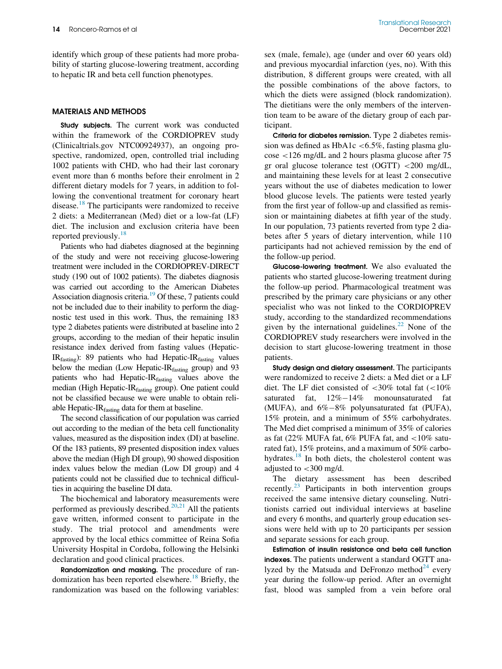identify which group of these patients had more probability of starting glucose-lowering treatment, according to hepatic IR and beta cell function phenotypes.

#### MATERIALS AND METHODS

Study subjects. The current work was conducted within the framework of the CORDIOPREV study (Clinicaltrials.gov NTC00924937), an ongoing prospective, randomized, open, controlled trial including 1002 patients with CHD, who had their last coronary event more than 6 months before their enrolment in 2 different dietary models for 7 years, in addition to following the conventional treatment for coronary heart disease.<sup>[18](#page-11-15)</sup> The participants were randomized to receive 2 diets: a Mediterranean (Med) diet or a low-fat (LF) diet. The inclusion and exclusion criteria have been reported previously.<sup>[18](#page-11-15)</sup>

Patients who had diabetes diagnosed at the beginning of the study and were not receiving glucose-lowering treatment were included in the CORDIOPREV-DIRECT study (190 out of 1002 patients). The diabetes diagnosis was carried out according to the American Diabetes Association diagnosis criteria.<sup>19</sup> Of these, 7 patients could not be included due to their inability to perform the diagnostic test used in this work. Thus, the remaining 183 type 2 diabetes patients were distributed at baseline into 2 groups, according to the median of their hepatic insulin resistance index derived from fasting values (Hepatic-IR $_{\text{fasting}}$ ): 89 patients who had Hepatic-IR $_{\text{fasting}}$  values below the median (Low Hepatic-IR<sub>fasting</sub> group) and 93 patients who had Hepatic-IRfasting values above the median (High Hepatic-IRfasting group). One patient could not be classified because we were unable to obtain reliable Hepatic-IR<sub>fasting</sub> data for them at baseline.

The second classification of our population was carried out according to the median of the beta cell functionality values, measured as the disposition index (DI) at baseline. Of the 183 patients, 89 presented disposition index values above the median (High DI group), 90 showed disposition index values below the median (Low DI group) and 4 patients could not be classified due to technical difficulties in acquiring the baseline DI data.

The biochemical and laboratory measurements were performed as previously described.<sup>[20,](#page-11-17)[21](#page-11-18)</sup> All the patients gave written, informed consent to participate in the study. The trial protocol and amendments were approved by the local ethics committee of Reina Sofia University Hospital in Cordoba, following the Helsinki declaration and good clinical practices.

Randomization and masking. The procedure of ran-domization has been reported elsewhere.<sup>[18](#page-11-15)</sup> Briefly, the randomization was based on the following variables: sex (male, female), age (under and over 60 years old) and previous myocardial infarction (yes, no). With this distribution, 8 different groups were created, with all the possible combinations of the above factors, to which the diets were assigned (block randomization). The dietitians were the only members of the intervention team to be aware of the dietary group of each participant.

Criteria for diabetes remission. Type 2 diabetes remission was defined as  $HbA1c < 6.5\%$ , fasting plasma glucose <126 mg/dL and 2 hours plasma glucose after 75 gr oral glucose tolerance test (OGTT) <200 mg/dL, and maintaining these levels for at least 2 consecutive years without the use of diabetes medication to lower blood glucose levels. The patients were tested yearly from the first year of follow-up and classified as remission or maintaining diabetes at fifth year of the study. In our population, 73 patients reverted from type 2 diabetes after 5 years of dietary intervention, while 110 participants had not achieved remission by the end of the follow-up period.

Glucose-lowering treatment. We also evaluated the patients who started glucose-lowering treatment during the follow-up period. Pharmacological treatment was prescribed by the primary care physicians or any other specialist who was not linked to the CORDIOPREV study, according to the standardized recommendations given by the international guidelines.<sup>[22](#page-11-19)</sup> None of the CORDIOPREV study researchers were involved in the decision to start glucose-lowering treatment in those patients.

Study design and dietary assessment. The participants were randomized to receive 2 diets: a Med diet or a LF diet. The LF diet consisted of  $\langle 30\%$  total fat  $(\langle 10\%$ saturated fat,  $12\% - 14\%$  monounsaturated fat (MUFA), and  $6\% - 8\%$  polyunsaturated fat (PUFA), 15% protein, and a minimum of 55% carbohydrates. The Med diet comprised a minimum of 35% of calories as fat (22% MUFA fat,  $6\%$  PUFA fat, and  $<10\%$  saturated fat), 15% proteins, and a maximum of 50% carbo-hydrates.<sup>[18](#page-11-15)</sup> In both diets, the cholesterol content was adjusted to  $<$  300 mg/d.

The dietary assessment has been described recently. $^{23}$  $^{23}$  $^{23}$  Participants in both intervention groups received the same intensive dietary counseling. Nutritionists carried out individual interviews at baseline and every 6 months, and quarterly group education sessions were held with up to 20 participants per session and separate sessions for each group.

Estimation of insulin resistance and beta cell function indexes. The patients underwent a standard OGTT analyzed by the Matsuda and DeFronzo method $^{24}$  $^{24}$  $^{24}$  every year during the follow-up period. After an overnight fast, blood was sampled from a vein before oral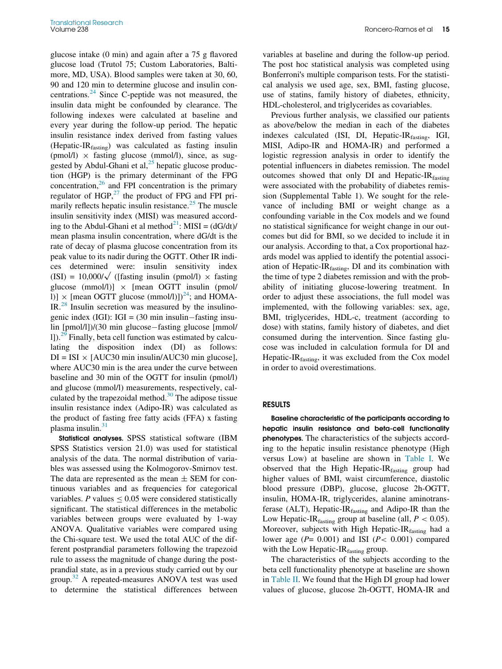glucose intake (0 min) and again after a 75 g flavored glucose load (Trutol 75; Custom Laboratories, Baltimore, MD, USA). Blood samples were taken at 30, 60, 90 and 120 min to determine glucose and insulin concentrations. $^{24}$  $^{24}$  $^{24}$  Since C-peptide was not measured, the insulin data might be confounded by clearance. The following indexes were calculated at baseline and every year during the follow-up period. The hepatic insulin resistance index derived from fasting values (Hepatic-IRfasting) was calculated as fasting insulin (pmol/l)  $\times$  fasting glucose (mmol/l), since, as suggested by Abdul-Ghani et al, $^{25}$  $^{25}$  $^{25}$  hepatic glucose production (HGP) is the primary determinant of the FPG concentration, $^{26}$  $^{26}$  $^{26}$  and FPI concentration is the primary regulator of HGP, $^{27}$  $^{27}$  $^{27}$  the product of FPG and FPI pri-marily reflects hepatic insulin resistance.<sup>[25](#page-11-22)</sup> The muscle insulin sensitivity index (MISI) was measured according to the Abdul-Ghani et al method<sup>21</sup>: MISI =  $(dG/dt)$ / mean plasma insulin concentration, where dG/dt is the rate of decay of plasma glucose concentration from its peak value to its nadir during the OGTT. Other IR indices determined were: insulin sensitivity index  $(ISI) = 10,000/\sqrt{$  ([fasting insulin (pmol/l)  $\times$  fasting glucose (mmol/l)]  $\times$  [mean OGTT insulin (pmol/ l)]  $\times$  [mean OGTT glucose (mmol/l)])<sup>24</sup>; and HOMA-IR.[28](#page-11-25) Insulin secretion was measured by the insulinogenic index (IGI): IGI =  $(30 \text{ min} \text{ insulin} - \text{fasting} \text{ insu-}$  $\lim$  [pmol/l])/(30 min glucose fasting glucose [mmol/ l]).[29](#page-11-26) Finally, beta cell function was estimated by calculating the disposition index (DI) as follows:  $DI = ISI \times [AUC30 min insulin/AUC30 min glucose]$ , where AUC30 min is the area under the curve between baseline and 30 min of the OGTT for insulin (pmol/l) and glucose (mmol/l) measurements, respectively, calculated by the trapezoidal method. $30$  The adipose tissue insulin resistance index (Adipo-IR) was calculated as the product of fasting free fatty acids (FFA) x fasting plasma insulin. $31$ 

Statistical analyses. SPSS statistical software (IBM SPSS Statistics version 21.0) was used for statistical analysis of the data. The normal distribution of variables was assessed using the Kolmogorov-Smirnov test. The data are represented as the mean  $\pm$  SEM for continuous variables and as frequencies for categorical variables. P values  $\leq 0.05$  were considered statistically significant. The statistical differences in the metabolic variables between groups were evaluated by 1-way ANOVA. Qualitative variables were compared using the Chi-square test. We used the total AUC of the different postprandial parameters following the trapezoid rule to assess the magnitude of change during the postprandial state, as in a previous study carried out by our group.[32](#page-11-29) A repeated-measures ANOVA test was used to determine the statistical differences between

variables at baseline and during the follow-up period. The post hoc statistical analysis was completed using Bonferroni's multiple comparison tests. For the statistical analysis we used age, sex, BMI, fasting glucose, use of statins, family history of diabetes, ethnicity, HDL-cholesterol, and triglycerides as covariables.

Previous further analysis, we classified our patients as above/below the median in each of the diabetes indexes calculated (ISI, DI, Hepatic-IR<sub>fasting</sub>, IGI, MISI, Adipo-IR and HOMA-IR) and performed a logistic regression analysis in order to identify the potential influencers in diabetes remission. The model outcomes showed that only DI and Hepatic-IRfasting were associated with the probability of diabetes remission (Supplemental Table 1). We sought for the relevance of including BMI or weight change as a confounding variable in the Cox models and we found no statistical significance for weight change in our outcomes but did for BMI, so we decided to include it in our analysis. According to that, a Cox proportional hazards model was applied to identify the potential association of Hepatic-I $R_{\text{fasting}}$ , DI and its combination with the time of type 2 diabetes remission and with the probability of initiating glucose-lowering treatment. In order to adjust these associations, the full model was implemented, with the following variables: sex, age, BMI, triglycerides, HDL-c, treatment (according to dose) with statins, family history of diabetes, and diet consumed during the intervention. Since fasting glucose was included in calculation formula for DI and Hepatic-I $R_{\text{fasting}}$ , it was excluded from the Cox model in order to avoid overestimations.

#### RESULTS

Baseline characteristic of the participants according to hepatic insulin resistance and beta-cell functionality phenotypes. The characteristics of the subjects according to the hepatic insulin resistance phenotype (High versus Low) at baseline are shown in [Table I.](#page-4-0) We observed that the High Hepatic-IRfasting group had higher values of BMI, waist circumference, diastolic blood pressure (DBP), glucose, glucose 2h-OGTT, insulin, HOMA-IR, triglycerides, alanine aminotransferase (ALT), Hepatic-I $R_{\text{fasting}}$  and Adipo-IR than the Low Hepatic-IR<sub>fasting</sub> group at baseline (all,  $P < 0.05$ ). Moreover, subjects with High Hepatic-IRfasting had a lower age  $(P= 0.001)$  and ISI  $(P< 0.001)$  compared with the Low Hepatic-I $R_{\text{fasting}}$  group.

The characteristics of the subjects according to the beta cell functionality phenotype at baseline are shown in [Table II.](#page-5-0) We found that the High DI group had lower values of glucose, glucose 2h-OGTT, HOMA-IR and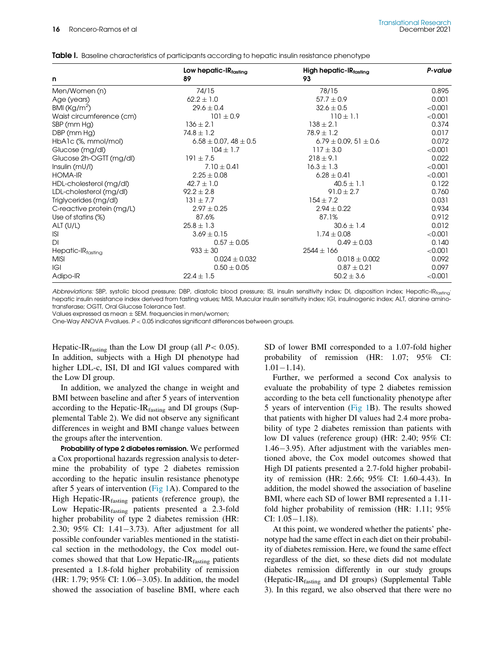| n                         | Low hepatic- $IR_{\text{fastina}}$<br>89 | High hepatic-IRfasting<br>93   | P-value |
|---------------------------|------------------------------------------|--------------------------------|---------|
| Men/Women (n)             | 74/15                                    | 78/15                          | 0.895   |
| Age (years)               | $62.2 \pm 1.0$                           | $57.7 \pm 0.9$                 | 0.001   |
| BMI ( $\text{Kg/m}^2$ )   | $29.6 \pm 0.4$                           | $32.6 \pm 0.5$                 | < 0.001 |
| Waist circumference (cm)  | $101 \pm 0.9$                            | $110 \pm 1.1$                  | < 0.001 |
| SBP (mm Hg)               | $136 \pm 2.1$                            | $138 \pm 2.1$                  | 0.374   |
| DBP (mm Hg)               | $74.8 \pm 1.2$                           | $78.9 \pm 1.2$                 | 0.017   |
| $HbA1c$ (%, mmol/mol)     | $6.58 \pm 0.07$ , 48 $\pm$ 0.5           | $6.79 \pm 0.09$ , 51 $\pm$ 0.6 | 0.072   |
| Glucose (mg/dl)           | $104 \pm 1.7$                            | $117 \pm 3.0$                  | < 0.001 |
| Glucose 2h-OGTT (mg/dl)   | $191 \pm 7.5$                            | $218 \pm 9.1$                  | 0.022   |
| Insulin (mU/l)            | $7.10 \pm 0.41$                          | $16.3 \pm 1.3$                 | < 0.001 |
| <b>HOMA-IR</b>            | $2.25 \pm 0.08$                          | $6.28 \pm 0.41$                | < 0.001 |
| HDL-cholesterol (mg/dl)   | $42.7 \pm 1.0$                           | $40.5 \pm 1.1$                 | 0.122   |
| LDL-cholesterol (mg/dl)   | $92.2 \pm 2.8$                           | $91.0 \pm 2.7$                 | 0.760   |
| Triglycerides (mg/dl)     | $131 \pm 7.7$                            | $154 \pm 7.2$                  | 0.031   |
| C-reactive protein (mg/L) | $2.97 \pm 0.25$                          | $2.94 \pm 0.22$                | 0.934   |
| Use of statins (%)        | 87.6%                                    | 87.1%                          | 0.912   |
| ALT(U/L)                  | $25.8 \pm 1.3$                           | $30.6 \pm 1.4$                 | 0.012   |
| <b>ISI</b>                | $3.69 \pm 0.15$                          | $1.74 \pm 0.08$                | < 0.001 |
| DI                        | $0.57 \pm 0.05$                          | $0.49 \pm 0.03$                | 0.140   |
| Hepatic-IRfasting         | $933 \pm 30$                             | $2544 \pm 166$                 | < 0.001 |
| <b>MISI</b>               | $0.024 \pm 0.032$                        | $0.018 \pm 0.002$              | 0.092   |
| IGI                       | $0.50 \pm 0.05$                          | $0.87 \pm 0.21$                | 0.097   |
| Adipo-IR                  | $22.4 \pm 1.5$                           | $50.2 \pm 3.6$                 | < 0.001 |

<span id="page-4-0"></span>Table I. Baseline characteristics of participants according to hepatic insulin resistance phenotype

Abbreviations: SBP, systolic blood pressure; DBP, diastolic blood pressure; ISI, insulin sensitivity index; DI, disposition index; Hepatic-IRtasting' hepatic insulin resistance index derived from fasting values; MISI, Muscular insulin sensitivity index; IGI, insulinogenic index; ALT, alanine aminotransferase; OGTT, Oral Glucose Tolerance Test.

Values expressed as mean  $\pm$  SEM. frequencies in men/women;

One-Way ANOVA P-values. P < 0.05 indicates significant differences between groups.

Hepatic-IR<sub>fasting</sub> than the Low DI group (all  $P < 0.05$ ). In addition, subjects with a High DI phenotype had higher LDL-c, ISI, DI and IGI values compared with the Low DI group.

In addition, we analyzed the change in weight and BMI between baseline and after 5 years of intervention according to the Hepatic-I $R_{\text{fasting}}$  and DI groups (Supplemental Table 2). We did not observe any significant differences in weight and BMI change values between the groups after the intervention.

Probability of type 2 diabetes remission. We performed a Cox proportional hazards regression analysis to determine the probability of type 2 diabetes remission according to the hepatic insulin resistance phenotype after 5 years of intervention ([Fig 1](#page-6-0)A). Compared to the High Hepatic-I $R_{\text{fasting}}$  patients (reference group), the Low Hepatic-IR $_{\text{fasting}}$  patients presented a 2.3-fold higher probability of type 2 diabetes remission (HR: 2.30; 95% CI: 1.41-3.73). After adjustment for all possible confounder variables mentioned in the statistical section in the methodology, the Cox model outcomes showed that that Low Hepatic-IRfasting patients presented a 1.8-fold higher probability of remission (HR: 1.79;  $95\%$  CI: 1.06-3.05). In addition, the model showed the association of baseline BMI, where each

SD of lower BMI corresponded to a 1.07-fold higher probability of remission (HR: 1.07; 95% CI:  $1.01 - 1.14$ .

Further, we performed a second Cox analysis to evaluate the probability of type 2 diabetes remission according to the beta cell functionality phenotype after 5 years of intervention [\(Fig 1](#page-6-0)B). The results showed that patients with higher DI values had 2.4 more probability of type 2 diabetes remission than patients with low DI values (reference group) (HR: 2.40; 95% CI:  $1.46 - 3.95$ ). After adjustment with the variables mentioned above, the Cox model outcomes showed that High DI patients presented a 2.7-fold higher probability of remission (HR: 2.66; 95% CI: 1.60-4.43). In addition, the model showed the association of baseline BMI, where each SD of lower BMI represented a 1.11 fold higher probability of remission (HR: 1.11; 95%  $CI: 1.05 - 1.18$ .

At this point, we wondered whether the patients' phenotype had the same effect in each diet on their probability of diabetes remission. Here, we found the same effect regardless of the diet, so these diets did not modulate diabetes remission differently in our study groups (Hepatic-IR<sub>fasting</sub> and DI groups) (Supplemental Table 3). In this regard, we also observed that there were no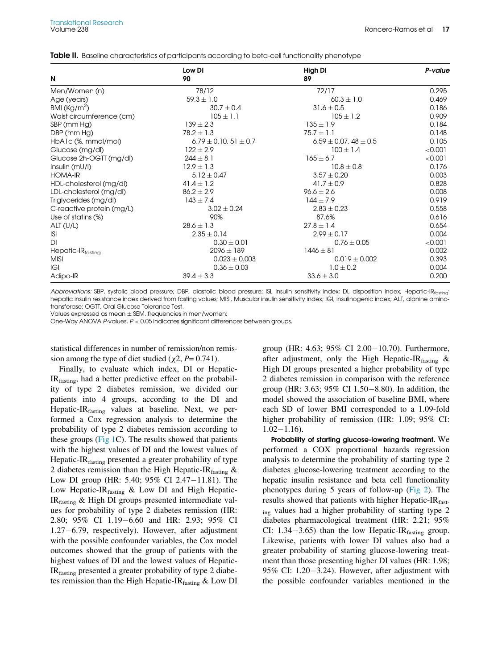| N                         | Low DI<br>90                | High DI<br>89                  | P-value |
|---------------------------|-----------------------------|--------------------------------|---------|
| Men/Women (n)             | 78/12                       | 72/17                          | 0.295   |
|                           |                             | $60.3 \pm 1.0$                 | 0.469   |
| Age (years)               | $59.3 \pm 1.0$              |                                |         |
| BMI ( $\text{Kg/m}^2$ )   | $30.7 \pm 0.4$              | $31.6 \pm 0.5$                 | 0.186   |
| Waist circumference (cm)  | $105 \pm 1.1$               | $105 \pm 1.2$                  | 0.909   |
| SBP (mm Hg)               | $139 \pm 2.3$               | $135 \pm 1.9$                  | 0.184   |
| DBP (mm Hg)               | $78.2 \pm 1.3$              | $75.7 \pm 1.1$                 | 0.148   |
| HbA1c (%, mmol/mol)       | $6.79 \pm 0.10, 51 \pm 0.7$ | $6.59 \pm 0.07$ , $48 \pm 0.5$ | 0.105   |
| Glucose (mg/dl)           | $122 \pm 2.9$               | $100 \pm 1.4$                  | < 0.001 |
| Glucose 2h-OGTT (mg/dl)   | $244 \pm 8.1$               | $165 \pm 6.7$                  | < 0.001 |
| Insulin (mU/I)            | $12.9 \pm 1.3$              | $10.8 \pm 0.8$                 | 0.176   |
| <b>HOMA-IR</b>            | $5.12 \pm 0.47$             | $3.57 \pm 0.20$                | 0.003   |
| HDL-cholesterol (mg/dl)   | 41.4 $\pm$ 1.2              | $41.7 \pm 0.9$                 | 0.828   |
| LDL-cholesterol (mg/dl)   | $86.2 \pm 2.9$              | $96.6 \pm 2.6$                 | 0.008   |
| Triglycerides (mg/dl)     | $143 \pm 7.4$               | $144 \pm 7.9$                  | 0.919   |
| C-reactive protein (mg/L) | $3.02 \pm 0.24$             | $2.83 \pm 0.23$                | 0.558   |
| Use of statins (%)        | 90%                         | 87.6%                          | 0.616   |
| ALT(U/L)                  | $28.6 \pm 1.3$              | $27.8 \pm 1.4$                 | 0.654   |
| <b>ISI</b>                | $2.35 \pm 0.14$             | $2.99 \pm 0.17$                | 0.004   |
| DI                        | $0.30 \pm 0.01$             | $0.76 \pm 0.05$                | < 0.001 |
| Hepatic-IRfasting         | $2096 \pm 189$              | $1446 \pm 81$                  | 0.002   |
| <b>MISI</b>               | $0.023 \pm 0.003$           | $0.019 \pm 0.002$              | 0.393   |
| IGI                       | $0.36 \pm 0.03$             | $1.0 \pm 0.2$                  | 0.004   |
| Adipo-IR                  | $39.4 \pm 3.3$              | $33.6 \pm 3.0$                 | 0.200   |

<span id="page-5-0"></span>Table II. Baseline characteristics of participants according to beta-cell functionality phenotype

Abbreviations: SBP, systolic blood pressure; DBP, diastolic blood pressure; ISI, insulin sensitivity index; DI, disposition index; Hepatic-IRtrasting hepatic insulin resistance index derived from fasting values; MISI, Muscular insulin sensitivity index; IGI, insulinogenic index; ALT, alanine aminotransferase; OGTT, Oral Glucose Tolerance Test.

Values expressed as mean  $\pm$  SEM. frequencies in men/women;

One-Way ANOVA P-values. P < 0.05 indicates significant differences between groups.

statistical differences in number of remission/non remission among the type of diet studied ( $\chi$ 2, P= 0.741).

Finally, to evaluate which index, DI or Hepatic-IRfasting, had a better predictive effect on the probability of type 2 diabetes remission, we divided our patients into 4 groups, according to the DI and Hepatic-I $R_{\text{fasting}}$  values at baseline. Next, we performed a Cox regression analysis to determine the probability of type 2 diabetes remission according to these groups [\(Fig 1C](#page-6-0)). The results showed that patients with the highest values of DI and the lowest values of Hepatic-IR<sub>fasting</sub> presented a greater probability of type 2 diabetes remission than the High Hepatic-IR  $_{\text{fasting}}$  & Low DI group (HR: 5.40;  $95\%$  CI 2.47-11.81). The Low Hepatic- $IR<sub>fasting</sub>$  & Low DI and High Hepatic-IRfasting & High DI groups presented intermediate values for probability of type 2 diabetes remission (HR: 2.80; 95% CI 1.19-6.60 and HR: 2.93; 95% CI  $1.27-6.79$ , respectively). However, after adjustment with the possible confounder variables, the Cox model outcomes showed that the group of patients with the highest values of DI and the lowest values of Hepatic-IRfasting presented a greater probability of type 2 diabetes remission than the High Hepatic-IR $_{\text{fasting}}$  & Low DI

group (HR: 4.63;  $95\%$  CI 2.00-10.70). Furthermore, after adjustment, only the High Hepatic-IR  $_{\text{fasting}}$  & High DI groups presented a higher probability of type 2 diabetes remission in comparison with the reference group (HR: 3.63;  $95\%$  CI 1.50-8.80). In addition, the model showed the association of baseline BMI, where each SD of lower BMI corresponded to a 1.09-fold higher probability of remission (HR: 1.09; 95% CI:  $1.02 - 1.16$ .

Probability of starting glucose-lowering treatment. We performed a COX proportional hazards regression analysis to determine the probability of starting type 2 diabetes glucose-lowering treatment according to the hepatic insulin resistance and beta cell functionality phenotypes during 5 years of follow-up [\(Fig 2](#page-7-0)). The results showed that patients with higher Hepatic-IR<sub>fast-</sub> ing values had a higher probability of starting type 2 diabetes pharmacological treatment (HR: 2.21; 95% CI: 1.34-3.65) than the low Hepatic-IR $_{\text{fasting}}$  group. Likewise, patients with lower DI values also had a greater probability of starting glucose-lowering treatment than those presenting higher DI values (HR: 1.98; 95% CI:  $1.20 - 3.24$ ). However, after adjustment with the possible confounder variables mentioned in the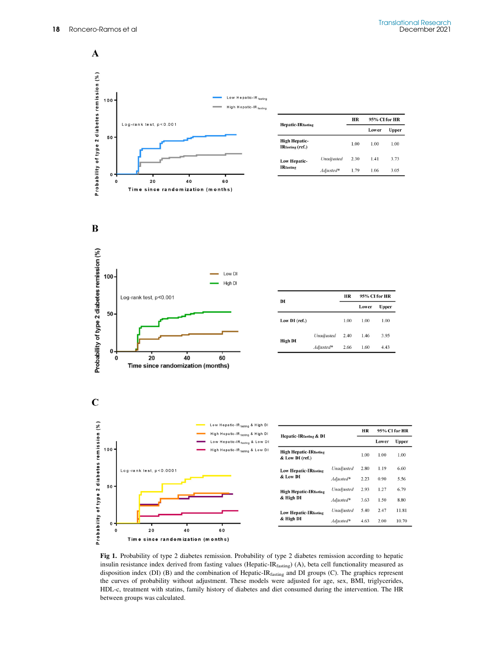

<span id="page-6-0"></span>

|                                          | HR         |      | 95% CI for HR |       |
|------------------------------------------|------------|------|---------------|-------|
| <b>Hepatic-IRfasting</b>                 |            |      | Lower         | Upper |
| <b>High Hepatic-</b><br>IRfasting (ref.) |            | 1.00 | 1.00          | 1.00  |
| <b>Low Hepatic-</b>                      | Unadjusted | 2.30 | 1.41          | 3.73  |
| <b>IRfasting</b>                         | Adjusted*  | 1.79 | 1.06          | 3.05  |



 $\mathbf C$ 

 $\mathbf 0$ 

 $\mathfrak o$ 



| DI            |            | HR   | 95% CI for HR |       |
|---------------|------------|------|---------------|-------|
|               |            |      | Lower         | Upper |
| Low DI (ref.) |            | 1.00 | 1.00          | 1.00  |
| High DI       | Unadjusted | 2.40 | 1.46          | 3.95  |
|               | Adjusted*  | 2.66 | 1.60          | 4.43  |



20

40

Time since randomization (months)

60

|                                                  |              | HR   | 95% CI for HR |       |
|--------------------------------------------------|--------------|------|---------------|-------|
| <b>Hepatic-IRfasting &amp; DI</b>                |              |      | Lower         | Upper |
| <b>High Hepatic-IRfasting</b><br>& Low DI (ref.) |              | 1.00 | 1.00          | 1.00  |
| <b>Low Hepatic-IRfasting</b>                     | Unadjusted   | 2.80 | 1.19          | 6.60  |
| & Low DI                                         | $Adi$ usted* | 2.23 | 0.90          | 5.56  |
| <b>High Hepatic-IRfasting</b>                    | Unadjusted   | 2.93 | 1.27          | 6.79  |
| & High DI                                        | Adjusted*    | 3.63 | 1.50          | 8.80  |
| <b>Low Hepatic-IRfasting</b><br>& High DI        | Unadjusted   | 5.40 | 2.47          | 11.81 |
|                                                  | Adjusted*    | 4.63 | 2.00          | 10.70 |

Fig 1. Probability of type 2 diabetes remission. Probability of type 2 diabetes remission according to hepatic insulin resistance index derived from fasting values (Hepatic-IRfasting) (A), beta cell functionality measured as disposition index (DI) (B) and the combination of Hepatic-IRfasting and DI groups (C). The graphics represent the curves of probability without adjustment. These models were adjusted for age, sex, BMI, triglycerides, HDL-c, treatment with statins, family history of diabetes and diet consumed during the intervention. The HR between groups was calculated.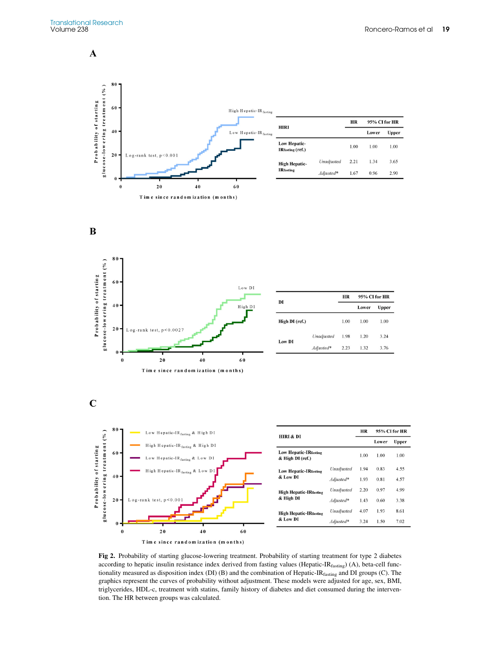<span id="page-7-0"></span> $\mathbf A$ 







| DI             |            | HR   | 95% CI for HR |       |  |
|----------------|------------|------|---------------|-------|--|
|                |            |      | Lower         | Upper |  |
| High DI (ref.) |            | 1.00 | 1.00          | 1.00  |  |
| <b>Low DI</b>  | Unadjusted | 1.98 | 1.20          | 3.24  |  |
|                | Adjusted*  | 2.23 | 1.32          | 3.76  |  |

 $\mathbf C$ 



Time since random ization (months)

Fig 2. Probability of starting glucose-lowering treatment. Probability of starting treatment for type 2 diabetes according to hepatic insulin resistance index derived from fasting values (Hepatic-IR<sub>fasting</sub>) (A), beta-cell functionality measured as disposition index (DI) (B) and the combination of Hepatic-IRfasting and DI groups (C). The graphics represent the curves of probability without adjustment. These models were adjusted for age, sex, BMI, triglycerides, HDL-c, treatment with statins, family history of diabetes and diet consumed during the intervention. The HR between groups was calculated.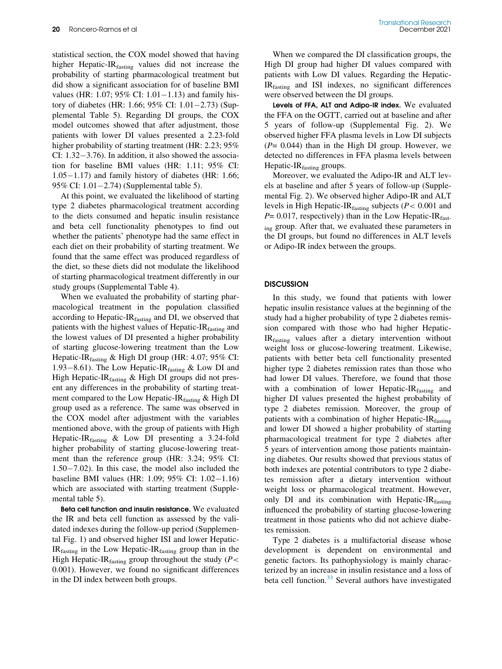statistical section, the COX model showed that having higher Hepatic-IR<sub>fasting</sub> values did not increase the probability of starting pharmacological treatment but did show a significant association for of baseline BMI values (HR: 1.07; 95% CI:  $1.01 - 1.13$ ) and family history of diabetes (HR: 1.66; 95% CI:  $1.01 - 2.73$ ) (Supplemental Table 5). Regarding DI groups, the COX model outcomes showed that after adjustment, those patients with lower DI values presented a 2.23-fold higher probability of starting treatment (HR: 2.23; 95% CI:  $1.32-3.76$ ). In addition, it also showed the association for baseline BMI values (HR: 1.11; 95% CI:  $1.05-1.17$ ) and family history of diabetes (HR: 1.66; 95% CI:  $1.01 - 2.74$ ) (Supplemental table 5).

At this point, we evaluated the likelihood of starting type 2 diabetes pharmacological treatment according to the diets consumed and hepatic insulin resistance and beta cell functionality phenotypes to find out whether the patients' phenotype had the same effect in each diet on their probability of starting treatment. We found that the same effect was produced regardless of the diet, so these diets did not modulate the likelihood of starting pharmacological treatment differently in our study groups (Supplemental Table 4).

When we evaluated the probability of starting pharmacological treatment in the population classified according to Hepatic-I $R_{\text{fasting}}$  and DI, we observed that patients with the highest values of Hepatic-I $R_{\text{fasting}}$  and the lowest values of DI presented a higher probability of starting glucose-lowering treatment than the Low Hepatic-IR<sub>fasting</sub> & High DI group (HR: 4.07; 95% CI: 1.93–8.61). The Low Hepatic-IR $_{\text{fasting}}$  & Low DI and High Hepatic-IRfasting & High DI groups did not present any differences in the probability of starting treatment compared to the Low Hepatic-IR $_{\text{fasting}}$  & High DI group used as a reference. The same was observed in the COX model after adjustment with the variables mentioned above, with the group of patients with High Hepatic-IR $_{\text{fasting}}$  & Low DI presenting a 3.24-fold higher probability of starting glucose-lowering treatment than the reference group (HR: 3.24; 95% CI:  $1.50-7.02$ ). In this case, the model also included the baseline BMI values (HR: 1.09;  $95\%$  CI: 1.02-1.16) which are associated with starting treatment (Supplemental table 5).

Beta cell function and insulin resistance. We evaluated the IR and beta cell function as assessed by the validated indexes during the follow-up period (Supplemental Fig. 1) and observed higher ISI and lower Hepatic- $IR<sub>fasting</sub>$  in the Low Hepatic-I $R<sub>fasting</sub>$  group than in the High Hepatic-IR $_{\text{fasting}}$  group throughout the study ( $P$  < 0.001). However, we found no significant differences in the DI index between both groups.

When we compared the DI classification groups, the High DI group had higher DI values compared with patients with Low DI values. Regarding the Hepatic-IRfasting and ISI indexes, no significant differences were observed between the DI groups.

Levels of FFA, ALT and Adipo-IR index. We evaluated the FFA on the OGTT, carried out at baseline and after 5 years of follow-up (Supplemental Fig. 2). We observed higher FFA plasma levels in Low DI subjects  $(P= 0.044)$  than in the High DI group. However, we detected no differences in FFA plasma levels between Hepatic-I $R_{\text{fasting}}$  groups.

Moreover, we evaluated the Adipo-IR and ALT levels at baseline and after 5 years of follow-up (Supplemental Fig. 2). We observed higher Adipo-IR and ALT levels in High Hepatic-IR $_{\text{fasting}}$  subjects ( $P < 0.001$  and  $P= 0.017$ , respectively) than in the Low Hepatic-IR<sub>fast-</sub> ing group. After that, we evaluated these parameters in the DI groups, but found no differences in ALT levels or Adipo-IR index between the groups.

#### **DISCUSSION**

In this study, we found that patients with lower hepatic insulin resistance values at the beginning of the study had a higher probability of type 2 diabetes remission compared with those who had higher Hepatic-IRfasting values after a dietary intervention without weight loss or glucose-lowering treatment. Likewise, patients with better beta cell functionality presented higher type 2 diabetes remission rates than those who had lower DI values. Therefore, we found that those with a combination of lower Hepatic-I $R_{\text{fasting}}$  and higher DI values presented the highest probability of type 2 diabetes remission. Moreover, the group of patients with a combination of higher Hepatic-I $R_{\text{fasting}}$ and lower DI showed a higher probability of starting pharmacological treatment for type 2 diabetes after 5 years of intervention among those patients maintaining diabetes. Our results showed that previous status of both indexes are potential contributors to type 2 diabetes remission after a dietary intervention without weight loss or pharmacological treatment. However, only DI and its combination with Hepatic-I $R_{\text{fasting}}$ influenced the probability of starting glucose-lowering treatment in those patients who did not achieve diabetes remission.

Type 2 diabetes is a multifactorial disease whose development is dependent on environmental and genetic factors. Its pathophysiology is mainly characterized by an increase in insulin resistance and a loss of beta cell function. $33$  Several authors have investigated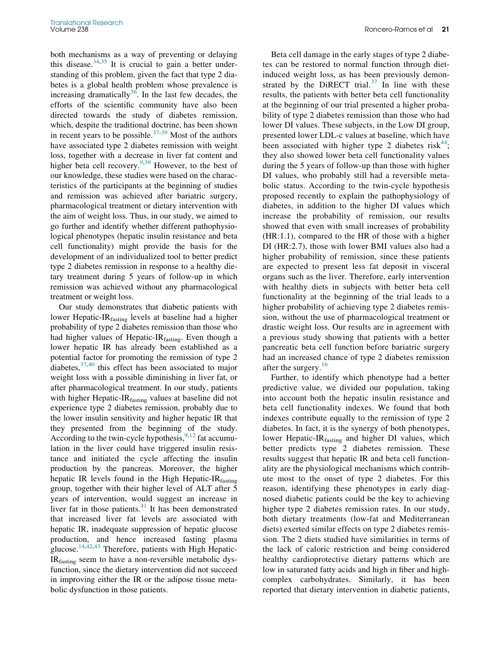both mechanisms as a way of preventing or delaying this disease. $34,35$  $34,35$  It is crucial to gain a better understanding of this problem, given the fact that type 2 diabetes is a global health problem whose prevalence is increasing dramatically $36$ . In the last few decades, the efforts of the scientific community have also been directed towards the study of diabetes remission, which, despite the traditional doctrine, has been shown in recent years to be possible. $37-39$  $37-39$  $37-39$  Most of the authors have associated type 2 diabetes remission with weight loss, together with a decrease in liver fat content and higher beta cell recovery.<sup>[9](#page-11-7)[,39](#page-12-4)</sup> However, to the best of our knowledge, these studies were based on the characteristics of the participants at the beginning of studies and remission was achieved after bariatric surgery, pharmacological treatment or dietary intervention with the aim of weight loss. Thus, in our study, we aimed to go further and identify whether different pathophysiological phenotypes (hepatic insulin resistance and beta cell functionality) might provide the basis for the development of an individualized tool to better predict type 2 diabetes remission in response to a healthy dietary treatment during 5 years of follow-up in which remission was achieved without any pharmacological treatment or weight loss.

Our study demonstrates that diabetic patients with lower Hepatic-IRfasting levels at baseline had a higher probability of type 2 diabetes remission than those who had higher values of Hepatic-I $R_{\text{fasting}}$ . Even though a lower hepatic IR has already been established as a potential factor for promoting the remission of type 2 diabetes,  $37,40$  $37,40$  this effect has been associated to major weight loss with a possible diminishing in liver fat, or after pharmacological treatment. In our study, patients with higher Hepatic-IR<sub>fasting</sub> values at baseline did not experience type 2 diabetes remission, probably due to the lower insulin sensitivity and higher hepatic IR that they presented from the beginning of the study. According to the twin-cycle hypothesis,  $9,12$  $9,12$  $9,12$  fat accumulation in the liver could have triggered insulin resistance and initiated the cycle affecting the insulin production by the pancreas. Moreover, the higher hepatic IR levels found in the High Hepatic-IR $_{\text{fasting}}$ group, together with their higher level of ALT after 5 years of intervention, would suggest an increase in liver fat in those patients. $41$  It has been demonstrated that increased liver fat levels are associated with hepatic IR, inadequate suppression of hepatic glucose production, and hence increased fasting plasma glucose. $14,42,43$  $14,42,43$  $14,42,43$  Therefore, patients with High Hepatic-IRfasting seem to have a non-reversible metabolic dysfunction, since the dietary intervention did not succeed in improving either the IR or the adipose tissue metabolic dysfunction in those patients.

Beta cell damage in the early stages of type 2 diabetes can be restored to normal function through dietinduced weight loss, as has been previously demonstrated by the DiRECT trial. $37$  In line with these results, the patients with better beta cell functionality at the beginning of our trial presented a higher probability of type 2 diabetes remission than those who had lower DI values. These subjects, in the Low DI group, presented lower LDL-c values at baseline, which have been associated with higher type 2 diabetes risk<sup>[44](#page-12-9)</sup>; they also showed lower beta cell functionality values during the 5 years of follow-up than those with higher DI values, who probably still had a reversible metabolic status. According to the twin-cycle hypothesis proposed recently to explain the pathophysiology of diabetes, in addition to the higher DI values which increase the probability of remission, our results showed that even with small increases of probability (HR:1.1), compared to the HR of those with a higher DI (HR:2.7), those with lower BMI values also had a higher probability of remission, since these patients are expected to present less fat deposit in visceral organs such as the liver. Therefore, early intervention with healthy diets in subjects with better beta cell functionality at the beginning of the trial leads to a higher probability of achieving type 2 diabetes remission, without the use of pharmacological treatment or drastic weight loss. Our results are in agreement with a previous study showing that patients with a better pancreatic beta cell function before bariatric surgery had an increased chance of type 2 diabetes remission after the surgery.<sup>[16](#page-11-13)</sup>

Further, to identify which phenotype had a better predictive value, we divided our population, taking into account both the hepatic insulin resistance and beta cell functionality indexes. We found that both indexes contribute equally to the remission of type 2 diabetes. In fact, it is the synergy of both phenotypes, lower Hepatic-I $R_{\text{fasting}}$  and higher DI values, which better predicts type 2 diabetes remission. These results suggest that hepatic IR and beta cell functionality are the physiological mechanisms which contribute most to the onset of type 2 diabetes. For this reason, identifying these phenotypes in early diagnosed diabetic patients could be the key to achieving higher type 2 diabetes remission rates. In our study, both dietary treatments (low-fat and Mediterranean diets) exerted similar effects on type 2 diabetes remission. The 2 diets studied have similarities in terms of the lack of caloric restriction and being considered healthy cardioprotective dietary patterns which are low in saturated fatty acids and high in fiber and highcomplex carbohydrates. Similarly, it has been reported that dietary intervention in diabetic patients,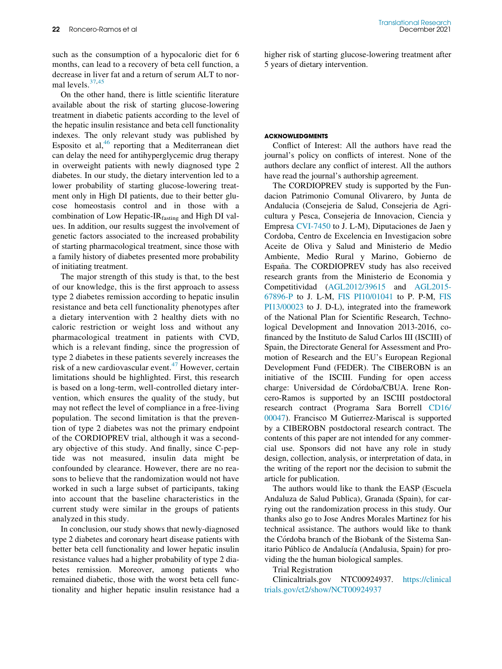such as the consumption of a hypocaloric diet for 6 months, can lead to a recovery of beta cell function, a decrease in liver fat and a return of serum ALT to normal levels.[37,](#page-12-3)[45](#page-12-10)

<span id="page-10-0"></span>On the other hand, there is little scientific literature available about the risk of starting glucose-lowering treatment in diabetic patients according to the level of the hepatic insulin resistance and beta cell functionality indexes. The only relevant study was published by Esposito et al,  $46$  reporting that a Mediterranean diet can delay the need for antihyperglycemic drug therapy in overweight patients with newly diagnosed type 2 diabetes. In our study, the dietary intervention led to a lower probability of starting glucose-lowering treatment only in High DI patients, due to their better glucose homeostasis control and in those with a combination of Low Hepatic- $IR<sub>fasting</sub>$  and High DI values. In addition, our results suggest the involvement of genetic factors associated to the increased probability of starting pharmacological treatment, since those with a family history of diabetes presented more probability of initiating treatment.

<span id="page-10-2"></span><span id="page-10-1"></span>The major strength of this study is that, to the best of our knowledge, this is the first approach to assess type 2 diabetes remission according to hepatic insulin resistance and beta cell functionality phenotypes after a dietary intervention with 2 healthy diets with no caloric restriction or weight loss and without any pharmacological treatment in patients with CVD, which is a relevant finding, since the progression of type 2 diabetes in these patients severely increases the risk of a new cardiovascular event. $47$  However, certain limitations should be highlighted. First, this research is based on a long-term, well-controlled dietary intervention, which ensures the quality of the study, but may not reflect the level of compliance in a free-living population. The second limitation is that the prevention of type 2 diabetes was not the primary endpoint of the CORDIOPREV trial, although it was a secondary objective of this study. And finally, since C-peptide was not measured, insulin data might be confounded by clearance. However, there are no reasons to believe that the randomization would not have worked in such a large subset of participants, taking into account that the baseline characteristics in the current study were similar in the groups of patients analyzed in this study.

In conclusion, our study shows that newly-diagnosed type 2 diabetes and coronary heart disease patients with better beta cell functionality and lower hepatic insulin resistance values had a higher probability of type 2 diabetes remission. Moreover, among patients who remained diabetic, those with the worst beta cell functionality and higher hepatic insulin resistance had a

higher risk of starting glucose-lowering treatment after 5 years of dietary intervention.

#### ACKNOWLEDGMENTS

Conflict of Interest: All the authors have read the journal's policy on conflicts of interest. None of the authors declare any conflict of interest. All the authors have read the journal's authorship agreement.

The CORDIOPREV study is supported by the Fundacion Patrimonio Comunal Olivarero, by Junta de Andalucia (Consejeria de Salud, Consejeria de Agricultura y Pesca, Consejeria de Innovacion, Ciencia y Empresa [CVI-7450](#page-10-0) to J. L-M), Diputaciones de Jaen y Cordoba, Centro de Excelencia en Investigacion sobre Aceite de Oliva y Salud and Ministerio de Medio Ambiente, Medio Rural y Marino, Gobierno de España. The CORDIOPREV study has also received research grants from the Ministerio de Economia y Competitividad [\(AGL2012/39615](#page-10-1) and [AGL2015-](#page-10-1) [67896-P](#page-10-1) to J. L-M, [FIS PI10/01041](#page-10-1) to P. P-M, [FIS](#page-10-1) [PI13/00023](#page-10-1) to J. D-L), integrated into the framework of the National Plan for Scientific Research, Technological Development and Innovation 2013-2016, cofinanced by the Instituto de Salud Carlos III (ISCIII) of Spain, the Directorate General for Assessment and Promotion of Research and the EU's European Regional Development Fund (FEDER). The CIBEROBN is an initiative of the ISCIII. Funding for open access charge: Universidad de Córdoba/CBUA. Irene Roncero-Ramos is supported by an ISCIII postdoctoral research contract (Programa Sara Borrell [CD16/](#page-10-2) [00047\)](#page-10-2). Francisco M Gutierrez-Mariscal is supported by a CIBEROBN postdoctoral research contract. The contents of this paper are not intended for any commercial use. Sponsors did not have any role in study design, collection, analysis, or interpretation of data, in the writing of the report nor the decision to submit the article for publication.

The authors would like to thank the EASP (Escuela Andaluza de Salud Publica), Granada (Spain), for carrying out the randomization process in this study. Our thanks also go to Jose Andres Morales Martinez for his technical assistance. The authors would like to thank the Córdoba branch of the Biobank of the Sistema Sanitario Público de Andalucía (Andalusia, Spain) for providing the the human biological samples.

Trial Registration

Clinicaltrials.gov NTC00924937. [https://clinical](https://clinicaltrials.gov/ct2/show/NCT00924937) [trials.gov/ct2/show/NCT00924937](https://clinicaltrials.gov/ct2/show/NCT00924937)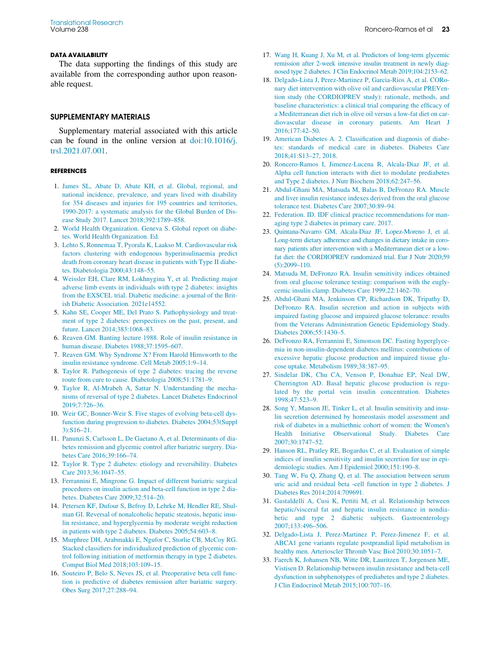#### <span id="page-11-14"></span>DATA AVAILABILITY

<span id="page-11-15"></span>The data supporting the findings of this study are available from the corresponding author upon reasonable request.

### SUPPLEMENTARY MATERIALS

<span id="page-11-16"></span>Supplementary material associated with this article can be found in the online version at [doi:10.1016/j.](https://doi.org/10.1016/j.trsl.2021.07.001) [trsl.2021.07.001.](https://doi.org/10.1016/j.trsl.2021.07.001)

#### <span id="page-11-17"></span><span id="page-11-0"></span>*REFERENCES*

- <span id="page-11-18"></span>1. [James SL, Abate D, Abate KH, et al. Global, regional, and](http://refhub.elsevier.com/S1931-5244(21)00158-4/sbref0001) [national incidence, prevalence, and years lived with disability](http://refhub.elsevier.com/S1931-5244(21)00158-4/sbref0001) [for 354 diseases and injuries for 195 countries and territories,](http://refhub.elsevier.com/S1931-5244(21)00158-4/sbref0001) [1990-2017: a systematic analysis for the Global Burden of Dis](http://refhub.elsevier.com/S1931-5244(21)00158-4/sbref0001)[ease Study 2017. Lancet 2018;392:1789–858.](http://refhub.elsevier.com/S1931-5244(21)00158-4/sbref0001)
- <span id="page-11-20"></span><span id="page-11-19"></span><span id="page-11-1"></span>2. [World Health Organization. Geneva S. Global report on diabe](http://refhub.elsevier.com/S1931-5244(21)00158-4/sbref0002)[tes. World Health Organization. Ed.](http://refhub.elsevier.com/S1931-5244(21)00158-4/sbref0002)
- <span id="page-11-2"></span>3. [Lehto S, Ronnemaa T, Pyorala K, Laakso M. Cardiovascular risk](http://refhub.elsevier.com/S1931-5244(21)00158-4/sbref0003) [factors clustering with endogenous hyperinsulinaemia predict](http://refhub.elsevier.com/S1931-5244(21)00158-4/sbref0003) [death from coronary heart disease in patients with Type II diabe](http://refhub.elsevier.com/S1931-5244(21)00158-4/sbref0003)[tes. Diabetologia 2000;43:148–55.](http://refhub.elsevier.com/S1931-5244(21)00158-4/sbref0003)
- <span id="page-11-21"></span><span id="page-11-3"></span>4. [Weissler EH, Clare RM, Lokhnygina Y, et al. Predicting major](http://refhub.elsevier.com/S1931-5244(21)00158-4/sbref0004) [adverse limb events in individuals with type 2 diabetes: insights](http://refhub.elsevier.com/S1931-5244(21)00158-4/sbref0004) [from the EXSCEL trial. Diabetic medicine: a journal of the Brit](http://refhub.elsevier.com/S1931-5244(21)00158-4/sbref0004)[ish Diabetic Association. 2021e14552.](http://refhub.elsevier.com/S1931-5244(21)00158-4/sbref0004)
- <span id="page-11-22"></span><span id="page-11-4"></span>5. [Kahn SE, Cooper ME, Del Prato S. Pathophysiology and treat](http://refhub.elsevier.com/S1931-5244(21)00158-4/sbref0005)[ment of type 2 diabetes: perspectives on the past, present, and](http://refhub.elsevier.com/S1931-5244(21)00158-4/sbref0005) [future. Lancet 2014;383:1068–83.](http://refhub.elsevier.com/S1931-5244(21)00158-4/sbref0005)
- <span id="page-11-23"></span>6. [Reaven GM. Banting lecture 1988. Role of insulin resistance in](http://refhub.elsevier.com/S1931-5244(21)00158-4/sbref0006) [human disease. Diabetes 1988;37:1595–607.](http://refhub.elsevier.com/S1931-5244(21)00158-4/sbref0006)
- <span id="page-11-5"></span>7. [Reaven GM. Why Syndrome X? From Harold Himsworth to the](http://refhub.elsevier.com/S1931-5244(21)00158-4/sbref0007) [insulin resistance syndrome. Cell Metab 2005;1:9–14.](http://refhub.elsevier.com/S1931-5244(21)00158-4/sbref0007)
- <span id="page-11-24"></span><span id="page-11-6"></span>8. [Taylor R. Pathogenesis of type 2 diabetes: tracing the reverse](http://refhub.elsevier.com/S1931-5244(21)00158-4/sbref0008) [route from cure to cause. Diabetologia 2008;51:1781–9.](http://refhub.elsevier.com/S1931-5244(21)00158-4/sbref0008)
- <span id="page-11-7"></span>9. [Taylor R, Al-Mrabeh A, Sattar N. Understanding the mecha](http://refhub.elsevier.com/S1931-5244(21)00158-4/sbref0009)[nisms of reversal of type 2 diabetes. Lancet Diabetes Endocrinol](http://refhub.elsevier.com/S1931-5244(21)00158-4/sbref0009) [2019;7:726–36.](http://refhub.elsevier.com/S1931-5244(21)00158-4/sbref0009)
- <span id="page-11-25"></span><span id="page-11-8"></span>10. [Weir GC, Bonner-Weir S. Five stages of evolving beta-cell dys](http://refhub.elsevier.com/S1931-5244(21)00158-4/sbref0010)[function during progression to diabetes. Diabetes 2004;53\(Suppl](http://refhub.elsevier.com/S1931-5244(21)00158-4/sbref0010) [3\):S16–21.](http://refhub.elsevier.com/S1931-5244(21)00158-4/sbref0010)
- <span id="page-11-26"></span><span id="page-11-9"></span>11. [Panunzi S, Carlsson L, De Gaetano A, et al. Determinants of dia](http://refhub.elsevier.com/S1931-5244(21)00158-4/sbref0011)[betes remission and glycemic control after bariatric surgery. Dia](http://refhub.elsevier.com/S1931-5244(21)00158-4/sbref0011)[betes Care 2016;39:166–74.](http://refhub.elsevier.com/S1931-5244(21)00158-4/sbref0011)
- <span id="page-11-31"></span>12. [Taylor R. Type 2 diabetes: etiology and reversibility. Diabetes](http://refhub.elsevier.com/S1931-5244(21)00158-4/sbref0012) [Care 2013;36:1047–55.](http://refhub.elsevier.com/S1931-5244(21)00158-4/sbref0012)
- <span id="page-11-27"></span><span id="page-11-10"></span>13. [Ferrannini E, Mingrone G. Impact of different bariatric surgical](http://refhub.elsevier.com/S1931-5244(21)00158-4/sbref0013) [procedures on insulin action and beta-cell function in type 2 dia](http://refhub.elsevier.com/S1931-5244(21)00158-4/sbref0013)[betes. Diabetes Care 2009;32:514–20.](http://refhub.elsevier.com/S1931-5244(21)00158-4/sbref0013)
- <span id="page-11-28"></span><span id="page-11-11"></span>14. [Petersen KF, Dufour S, Befroy D, Lehrke M, Hendler RE, Shul](http://refhub.elsevier.com/S1931-5244(21)00158-4/sbref0014)[man GI. Reversal of nonalcoholic hepatic steatosis, hepatic insu](http://refhub.elsevier.com/S1931-5244(21)00158-4/sbref0014)[lin resistance, and hyperglycemia by moderate weight reduction](http://refhub.elsevier.com/S1931-5244(21)00158-4/sbref0014) [in patients with type 2 diabetes. Diabetes 2005;54:603–8.](http://refhub.elsevier.com/S1931-5244(21)00158-4/sbref0014)
- <span id="page-11-29"></span><span id="page-11-12"></span>15. [Murphree DH, Arabmakki E, Ngufor C, Storlie CB, McCoy RG.](http://refhub.elsevier.com/S1931-5244(21)00158-4/sbref0015) [Stacked classifiers for individualized prediction of glycemic con](http://refhub.elsevier.com/S1931-5244(21)00158-4/sbref0015)[trol following initiation of metformin therapy in type 2 diabetes.](http://refhub.elsevier.com/S1931-5244(21)00158-4/sbref0015) [Comput Biol Med 2018;103:109–15.](http://refhub.elsevier.com/S1931-5244(21)00158-4/sbref0015)
- <span id="page-11-30"></span><span id="page-11-13"></span>16. [Souteiro P, Belo S, Neves JS, et al. Preoperative beta cell func](http://refhub.elsevier.com/S1931-5244(21)00158-4/sbref0016)[tion is predictive of diabetes remission after bariatric surgery.](http://refhub.elsevier.com/S1931-5244(21)00158-4/sbref0016) [Obes Surg 2017;27:288–94.](http://refhub.elsevier.com/S1931-5244(21)00158-4/sbref0016)
- 17. [Wang H, Kuang J, Xu M, et al. Predictors of long-term glycemic](http://refhub.elsevier.com/S1931-5244(21)00158-4/sbref0017) [remission after 2-week intensive insulin treatment in newly diag](http://refhub.elsevier.com/S1931-5244(21)00158-4/sbref0017)[nosed type 2 diabetes. J Clin Endocrinol Metab 2019;104:2153–62.](http://refhub.elsevier.com/S1931-5244(21)00158-4/sbref0017)
- 18. [Delgado-Lista J, Perez-Martinez P, Garcia-Rios A, et al. CORo](http://refhub.elsevier.com/S1931-5244(21)00158-4/sbref0018)[nary diet intervention with olive oil and cardiovascular PREVen](http://refhub.elsevier.com/S1931-5244(21)00158-4/sbref0018)[tion study \(the CORDIOPREV study\): rationale, methods, and](http://refhub.elsevier.com/S1931-5244(21)00158-4/sbref0018) [baseline characteristics: a clinical trial comparing the efficacy of](http://refhub.elsevier.com/S1931-5244(21)00158-4/sbref0018) [a Mediterranean diet rich in olive oil versus a low-fat diet on car](http://refhub.elsevier.com/S1931-5244(21)00158-4/sbref0018)[diovascular disease in coronary patients. Am Heart J](http://refhub.elsevier.com/S1931-5244(21)00158-4/sbref0018) [2016;177:42–50.](http://refhub.elsevier.com/S1931-5244(21)00158-4/sbref0018)
- 19. [American Diabetes A. 2. Classification and diagnosis of diabe](http://refhub.elsevier.com/S1931-5244(21)00158-4/sbref0019)[tes: standards of medical care in diabetes. Diabetes Care](http://refhub.elsevier.com/S1931-5244(21)00158-4/sbref0019) [2018;41:S13–27, 2018.](http://refhub.elsevier.com/S1931-5244(21)00158-4/sbref0019)
- 20. [Roncero-Ramos I, Jimenez-Lucena R, Alcala-Diaz JF, et al.](http://refhub.elsevier.com/S1931-5244(21)00158-4/sbref0020) [Alpha cell function interacts with diet to modulate prediabetes](http://refhub.elsevier.com/S1931-5244(21)00158-4/sbref0020) [and Type 2 diabetes. J Nutr Biochem 2018;62:247–56.](http://refhub.elsevier.com/S1931-5244(21)00158-4/sbref0020)
- 21. [Abdul-Ghani MA, Matsuda M, Balas B, DeFronzo RA. Muscle](http://refhub.elsevier.com/S1931-5244(21)00158-4/sbref0021) [and liver insulin resistance indexes derived from the oral glucose](http://refhub.elsevier.com/S1931-5244(21)00158-4/sbref0021) [tolerance test. Diabetes Care 2007;30:89–94.](http://refhub.elsevier.com/S1931-5244(21)00158-4/sbref0021)
- 22. [Federation. ID. IDF clinical practice recommendations for man](http://refhub.elsevier.com/S1931-5244(21)00158-4/sbref0022)[aging type 2 diabetes in primary care. 2017.](http://refhub.elsevier.com/S1931-5244(21)00158-4/sbref0022)
- 23. [Quintana-Navarro GM, Alcala-Diaz JF, Lopez-Moreno J, et al.](http://refhub.elsevier.com/S1931-5244(21)00158-4/sbref0023) [Long-term dietary adherence and changes in dietary intake in coro](http://refhub.elsevier.com/S1931-5244(21)00158-4/sbref0023)[nary patients after intervention with a Mediterranean diet or a low](http://refhub.elsevier.com/S1931-5244(21)00158-4/sbref0023)[fat diet: the CORDIOPREV randomized trial. Eur J Nutr 2020;59](http://refhub.elsevier.com/S1931-5244(21)00158-4/sbref0023)  $(5):2099-110.$
- 24. [Matsuda M, DeFronzo RA. Insulin sensitivity indices obtained](http://refhub.elsevier.com/S1931-5244(21)00158-4/sbref0024) [from oral glucose tolerance testing: comparison with the eugly](http://refhub.elsevier.com/S1931-5244(21)00158-4/sbref0024)[cemic insulin clamp. Diabetes Care 1999;22:1462–70.](http://refhub.elsevier.com/S1931-5244(21)00158-4/sbref0024)
- 25. [Abdul-Ghani MA, Jenkinson CP, Richardson DK, Tripathy D,](http://refhub.elsevier.com/S1931-5244(21)00158-4/sbref0025) [DeFronzo RA. Insulin secretion and action in subjects with](http://refhub.elsevier.com/S1931-5244(21)00158-4/sbref0025) [impaired fasting glucose and impaired glucose tolerance: results](http://refhub.elsevier.com/S1931-5244(21)00158-4/sbref0025) [from the Veterans Administration Genetic Epidemiology Study.](http://refhub.elsevier.com/S1931-5244(21)00158-4/sbref0025) [Diabetes 2006;55:1430–5.](http://refhub.elsevier.com/S1931-5244(21)00158-4/sbref0025)
- 26. [DeFronzo RA, Ferrannini E, Simonson DC. Fasting hyperglyce](http://refhub.elsevier.com/S1931-5244(21)00158-4/sbref0026)[mia in non-insulin-dependent diabetes mellitus: contributions of](http://refhub.elsevier.com/S1931-5244(21)00158-4/sbref0026) [excessive hepatic glucose production and impaired tissue glu](http://refhub.elsevier.com/S1931-5244(21)00158-4/sbref0026)[cose uptake. Metabolism 1989;38:387–95.](http://refhub.elsevier.com/S1931-5244(21)00158-4/sbref0026)
- 27. [Sindelar DK, Chu CA, Venson P, Donahue EP, Neal DW,](http://refhub.elsevier.com/S1931-5244(21)00158-4/sbref0027) [Cherrington AD. Basal hepatic glucose production is regu](http://refhub.elsevier.com/S1931-5244(21)00158-4/sbref0027)[lated by the portal vein insulin concentration. Diabetes](http://refhub.elsevier.com/S1931-5244(21)00158-4/sbref0027) [1998;47:523–9.](http://refhub.elsevier.com/S1931-5244(21)00158-4/sbref0027)
- 28. [Song Y, Manson JE, Tinker L, et al. Insulin sensitivity and insu](http://refhub.elsevier.com/S1931-5244(21)00158-4/sbref0028)[lin secretion determined by homeostasis model assessment and](http://refhub.elsevier.com/S1931-5244(21)00158-4/sbref0028) [risk of diabetes in a multiethnic cohort of women: the Women](http://refhub.elsevier.com/S1931-5244(21)00158-4/sbref0028)'s [Health Initiative Observational Study. Diabetes Care](http://refhub.elsevier.com/S1931-5244(21)00158-4/sbref0028) [2007;30:1747–52.](http://refhub.elsevier.com/S1931-5244(21)00158-4/sbref0028)
- 29. [Hanson RL, Pratley RE, Bogardus C, et al. Evaluation of simple](http://refhub.elsevier.com/S1931-5244(21)00158-4/sbref0029) [indices of insulin sensitivity and insulin secretion for use in epi](http://refhub.elsevier.com/S1931-5244(21)00158-4/sbref0029)[demiologic studies. Am J Epidemiol 2000;151:190–8.](http://refhub.elsevier.com/S1931-5244(21)00158-4/sbref0029)
- 30. [Tang W, Fu Q, Zhang Q, et al. The association between serum](http://refhub.elsevier.com/S1931-5244(21)00158-4/sbref0030) [uric acid and residual beta -cell function in type 2 diabetes. J](http://refhub.elsevier.com/S1931-5244(21)00158-4/sbref0030) [Diabetes Res 2014;2014:709691.](http://refhub.elsevier.com/S1931-5244(21)00158-4/sbref0030)
- 31. [Gastaldelli A, Cusi K, Pettiti M, et al. Relationship between](http://refhub.elsevier.com/S1931-5244(21)00158-4/sbref0031) [hepatic/visceral fat and hepatic insulin resistance in nondia](http://refhub.elsevier.com/S1931-5244(21)00158-4/sbref0031)[betic and type 2 diabetic subjects. Gastroenterology](http://refhub.elsevier.com/S1931-5244(21)00158-4/sbref0031) [2007;133:496–506.](http://refhub.elsevier.com/S1931-5244(21)00158-4/sbref0031)
- 32. [Delgado-Lista J, Perez-Martinez P, Perez-Jimenez F, et al.](http://refhub.elsevier.com/S1931-5244(21)00158-4/sbref0032) [ABCA1 gene variants regulate postprandial lipid metabolism in](http://refhub.elsevier.com/S1931-5244(21)00158-4/sbref0032) [healthy men. Arterioscler Thromb Vasc Biol 2010;30:1051–7.](http://refhub.elsevier.com/S1931-5244(21)00158-4/sbref0032)
- 33. [Faerch K, Johansen NB, Witte DR, Lauritzen T, Jorgensen ME,](http://refhub.elsevier.com/S1931-5244(21)00158-4/sbref0033) [Vistisen D. Relationship between insulin resistance and beta-cell](http://refhub.elsevier.com/S1931-5244(21)00158-4/sbref0033) [dysfunction in subphenotypes of prediabetes and type 2 diabetes.](http://refhub.elsevier.com/S1931-5244(21)00158-4/sbref0033) [J Clin Endocrinol Metab 2015;100:707–16.](http://refhub.elsevier.com/S1931-5244(21)00158-4/sbref0033)